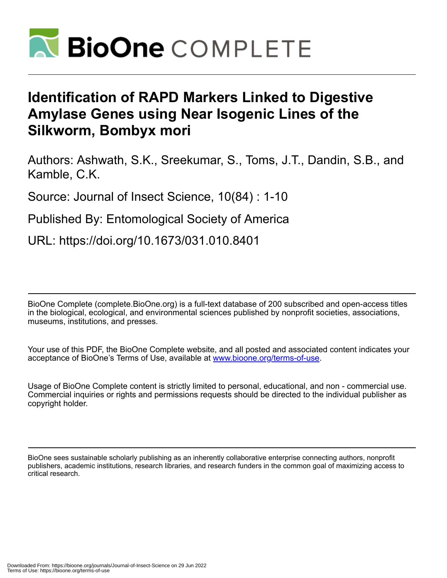

# **Identification of RAPD Markers Linked to Digestive Amylase Genes using Near Isogenic Lines of the Silkworm, Bombyx mori**

Authors: Ashwath, S.K., Sreekumar, S., Toms, J.T., Dandin, S.B., and Kamble, C.K.

Source: Journal of Insect Science, 10(84) : 1-10

Published By: Entomological Society of America

URL: https://doi.org/10.1673/031.010.8401

BioOne Complete (complete.BioOne.org) is a full-text database of 200 subscribed and open-access titles in the biological, ecological, and environmental sciences published by nonprofit societies, associations, museums, institutions, and presses.

Your use of this PDF, the BioOne Complete website, and all posted and associated content indicates your acceptance of BioOne's Terms of Use, available at www.bioone.org/terms-of-use.

Usage of BioOne Complete content is strictly limited to personal, educational, and non - commercial use. Commercial inquiries or rights and permissions requests should be directed to the individual publisher as copyright holder.

BioOne sees sustainable scholarly publishing as an inherently collaborative enterprise connecting authors, nonprofit publishers, academic institutions, research libraries, and research funders in the common goal of maximizing access to critical research.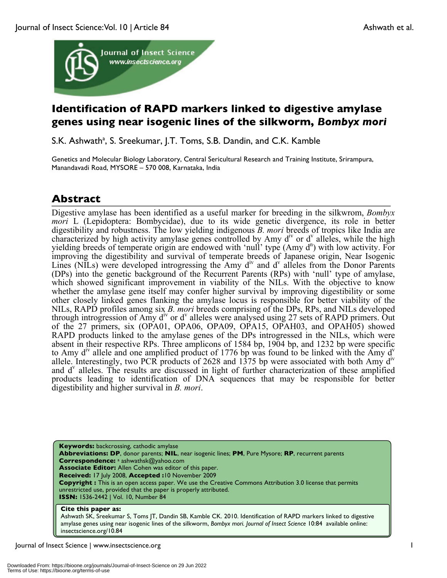

# **Identification of RAPD markers linked to digestive amylase genes using near isogenic lines of the silkworm,** *Bombyx mori*

S.K. Ashwath<sup>a</sup>, S. Sreekumar, J.T. Toms, S.B. Dandin, and C.K. Kamble

Genetics and Molecular Biology Laboratory, Central Sericultural Research and Training Institute, Srirampura, Manandavadi Road, MYSORE – 570 008, Karnataka, India

# **Abstract**

Digestive amylase has been identified as a useful marker for breeding in the silkwrom, *Bombyx mori* L (Lepidoptera: Bombycidae), due to its wide genetic divergence, its role in better digestibility and robustness. The low yielding indigenous *B. mori* breeds of tropics like India are characterized by high activity amylase genes controlled by Amy  $d^{\nu}$  or  $d^{\nu}$  alleles, while the high yielding breeds of temperate origin are endowed with 'null' type  $(Amy d<sup>n</sup>)$  with low activity. For improving the digestibility and survival of temperate breeds of Japanese origin, Near Isogenic Lines (NILs) were developed introgressing the Amy  $d<sup>iv</sup>$  and  $d<sup>v</sup>$  alleles from the Donor Parents (DPs) into the genetic background of the Recurrent Parents (RPs) with 'null' type of amylase, which showed significant improvement in viability of the NILs. With the objective to know whether the amylase gene itself may confer higher survival by improving digestibility or some other closely linked genes flanking the amylase locus is responsible for better viability of the NILs, RAPD profiles among six *B. mori* breeds comprising of the DPs, RPs, and NILs developed through introgression of Amy  $d^{\text{iv}}$  or  $d^{\text{v}}$  alleles were analysed using 27 sets of RAPD primers. Out of the 27 primers, six (OPA01, OPA06, OPA09, OPA15, OPAH03, and OPAH05) showed RAPD products linked to the amylase genes of the DPs introgressed in the NILs, which were absent in their respective RPs. Three amplicons of 1584 bp, 1904 bp, and 1232 bp were specific to Amy  $d^{\prime\prime}$  allele and one amplified product of 1776 bp was found to be linked with the Amy  $d^{\prime}$ allele. Interestingly, two PCR products of 2628 and 1375 bp were associated with both Amy div and d<sup>v</sup> alleles. The results are discussed in light of further characterization of these amplified products leading to identification of DNA sequences that may be responsible for better digestibility and higher survival in *B. mori*.

**Keywords:** backcrossing, cathodic amylase **Abbreviations: DP**, donor parents; **NIL**, near isogenic lines; **PM**, Pure Mysore; **RP**, recurrent parents **Correspondence:** <sup>a</sup> ashwathsk@yahoo.com **Associate Editor:** Allen Cohen was editor of this paper. **Received:** 17 July 2008, **Accepted :**10 November 2009 **Copyright :** This is an open access paper. We use the Creative Commons Attribution 3.0 license that permits unrestricted use, provided that the paper is properly attributed. **ISSN:** 1536-2442 | Vol. 10, Number 84

#### **Cite this paper as:**

Ashwath SK, Sreekumar S, Toms JT, Dandin SB, Kamble CK. 2010. Identification of RAPD markers linked to digestive amylase genes using near isogenic lines of the silkworm, *Bombyx mori. Journal of Insect Science* 10:84 available online: insectscience.org/10.84

Journal of Insect Science | www.insectscience.org 1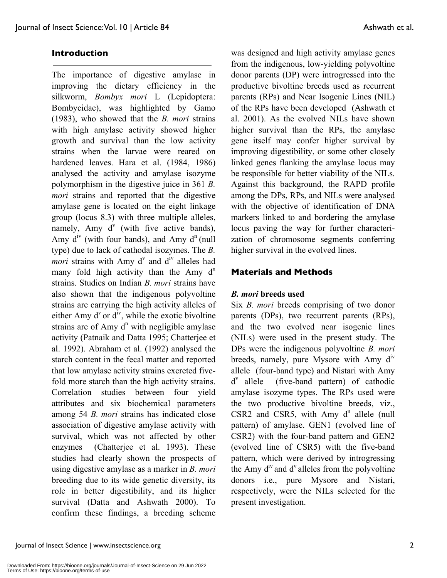### **Introduction**

The importance of digestive amylase in improving the dietary efficiency in the silkworm, *Bombyx mori* L (Lepidoptera: Bombycidae), was highlighted by Gamo (1983), who showed that the *B. mori* strains with high amylase activity showed higher growth and survival than the low activity strains when the larvae were reared on hardened leaves. Hara et al. (1984, 1986) analysed the activity and amylase isozyme polymorphism in the digestive juice in 361 *B. mori* strains and reported that the digestive amylase gene is located on the eight linkage group (locus 8.3) with three multiple alleles, namely, Amy  $d^v$  (with five active bands), Amy  $d^{iv}$  (with four bands), and Amy  $d^n$  (null type) due to lack of cathodal isozymes. The *B. mori* strains with Amy  $d^v$  and  $d^{iv}$  alleles had many fold high activity than the Amy  $d^n$ strains. Studies on Indian *B. mori* strains have also shown that the indigenous polyvoltine strains are carrying the high activity alleles of either Amy  $d^v$  or  $d^{iv}$ , while the exotic bivoltine strains are of Amy  $d^n$  with negligible amylase activity (Patnaik and Datta 1995; Chatterjee et al. 1992). Abraham et al. (1992) analysed the starch content in the fecal matter and reported that low amylase activity strains excreted fivefold more starch than the high activity strains. Correlation studies between four yield attributes and six biochemical parameters among 54 *B. mori* strains has indicated close association of digestive amylase activity with survival, which was not affected by other enzymes (Chatterjee et al. 1993). These studies had clearly shown the prospects of using digestive amylase as a marker in *B. mori* breeding due to its wide genetic diversity, its role in better digestibility, and its higher survival (Datta and Ashwath 2000). To confirm these findings, a breeding scheme

was designed and high activity amylase genes from the indigenous, low-yielding polyvoltine donor parents (DP) were introgressed into the productive bivoltine breeds used as recurrent parents (RPs) and Near Isogenic Lines (NIL) of the RPs have been developed (Ashwath et al. 2001). As the evolved NILs have shown higher survival than the RPs, the amylase gene itself may confer higher survival by improving digestibility, or some other closely linked genes flanking the amylase locus may be responsible for better viability of the NILs. Against this background, the RAPD profile among the DPs, RPs, and NILs were analysed with the objective of identification of DNA markers linked to and bordering the amylase locus paving the way for further characterization of chromosome segments conferring higher survival in the evolved lines.

#### **Materials and Methods**

#### *B. mori* **breeds used**

Six *B. mori* breeds comprising of two donor parents (DPs), two recurrent parents (RPs), and the two evolved near isogenic lines (NILs) were used in the present study. The DPs were the indigenous polyvoltine *B. mori* breeds, namely, pure Mysore with Amy  $d^{\nu}$ allele (four-band type) and Nistari with Amy  $d^v$  allele (five-band pattern) of cathodic amylase isozyme types. The RPs used were the two productive bivoltine breeds, viz.,  $CSR2$  and  $CSR5$ , with Amy  $d^n$  allele (null pattern) of amylase. GEN1 (evolved line of CSR2) with the four-band pattern and GEN2 (evolved line of CSR5) with the five-band pattern, which were derived by introgressing the Amy  $d^{\nu}$  and  $d^{\nu}$  alleles from the polyvoltine donors i.e., pure Mysore and Nistari, respectively, were the NILs selected for the present investigation.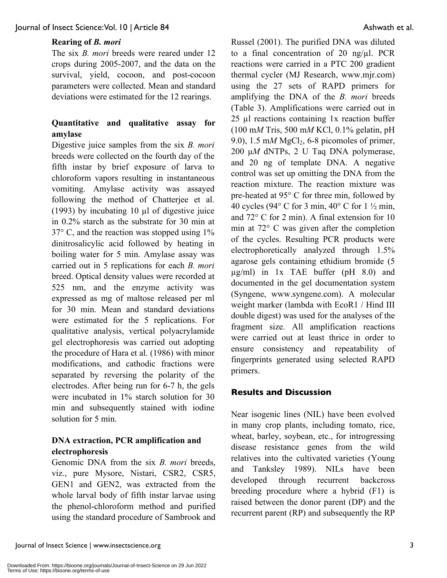# **Rearing of** *B. mori*

The six *B. mori* breeds were reared under 12 crops during 2005-2007, and the data on the survival, yield, cocoon, and post-cocoon parameters were collected. Mean and standard deviations were estimated for the 12 rearings.

## **Quantitative and qualitative assay for amylase**

Digestive juice samples from the six *B. mori* breeds were collected on the fourth day of the fifth instar by brief exposure of larva to chloroform vapors resulting in instantaneous vomiting. Amylase activity was assayed following the method of Chatterjee et al. (1993) by incubating 10  $\mu$ l of digestive juice in 0.2% starch as the substrate for 30 min at 37° C, and the reaction was stopped using 1% dinitrosalicylic acid followed by heating in boiling water for 5 min. Amylase assay was carried out in 5 replications for each *B. mori* breed. Optical density values were recorded at 525 nm, and the enzyme activity was expressed as mg of maltose released per ml for 30 min. Mean and standard deviations were estimated for the 5 replications. For qualitative analysis, vertical polyacrylamide gel electrophoresis was carried out adopting the procedure of Hara et al. (1986) with minor modifications, and cathodic fractions were separated by reversing the polarity of the electrodes. After being run for 6-7 h, the gels were incubated in 1% starch solution for 30 min and subsequently stained with iodine solution for 5 min.

## **DNA extraction, PCR amplification and electrophoresis**

Genomic DNA from the six *B. mori* breeds, viz., pure Mysore, Nistari, CSR2, CSR5, GEN1 and GEN2, was extracted from the whole larval body of fifth instar larvae using the phenol-chloroform method and purified using the standard procedure of Sambrook and Russel (2001). The purified DNA was diluted to a final concentration of 20 ng/ $\mu$ l. PCR reactions were carried in a PTC 200 gradient thermal cycler (MJ Research, www.mjr.com) using the 27 sets of RAPD primers for amplifying the DNA of the *B. mori* breeds (Table 3). Amplifications were carried out in  $25$  µl reactions containing 1x reaction buffer (100 m*M* Tris, 500 m*M* KCl, 0.1% gelatin, pH 9.0),  $1.5 \text{ m}M$  MgCl<sub>2</sub>, 6-8 picomoles of primer, 200 μ*M* dNTPs, 2 U Taq DNA polymerase, and 20 ng of template DNA. A negative control was set up omitting the DNA from the reaction mixture. The reaction mixture was pre-heated at 95° C for three min, followed by 40 cycles (94 $\degree$  C for 3 min, 40 $\degree$  C for 1  $\frac{1}{2}$  min, and 72° C for 2 min). A final extension for 10 min at 72° C was given after the completion of the cycles. Resulting PCR products were electrophoretically analyzed through 1.5% agarose gels containing ethidium bromide (5  $\mu$ g/ml) in 1x TAE buffer (pH 8.0) and documented in the gel documentation system (Syngene, www.syngene.com). A molecular weight marker (lambda with EcoR1 / Hind III double digest) was used for the analyses of the fragment size. All amplification reactions were carried out at least thrice in order to ensure consistency and repeatability of fingerprints generated using selected RAPD primers.

#### **Results and Discussion**

Near isogenic lines (NIL) have been evolved in many crop plants, including tomato, rice, wheat, barley, soybean, etc., for introgressing disease resistance genes from the wild relatives into the cultivated varieties (Young and Tanksley 1989). NILs have been developed through recurrent backcross breeding procedure where a hybrid (F1) is raised between the donor parent (DP) and the recurrent parent (RP) and subsequently the RP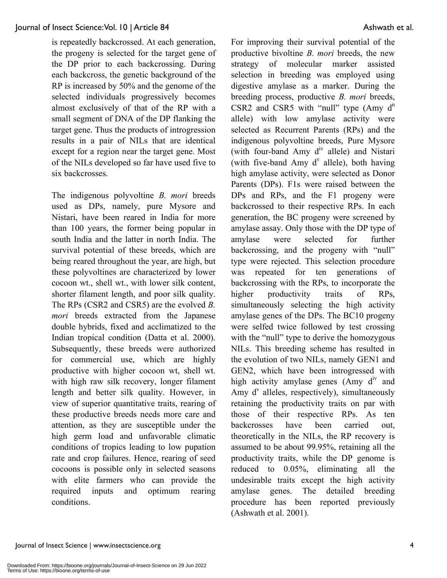is repeatedly backcrossed. At each generation, the progeny is selected for the target gene of the DP prior to each backcrossing. During each backcross, the genetic background of the RP is increased by 50% and the genome of the selected individuals progressively becomes almost exclusively of that of the RP with a small segment of DNA of the DP flanking the target gene. Thus the products of introgression results in a pair of NILs that are identical except for a region near the target gene. Most of the NILs developed so far have used five to six backcrosses.

The indigenous polyvoltine *B. mori* breeds used as DPs, namely, pure Mysore and Nistari, have been reared in India for more than 100 years, the former being popular in south India and the latter in north India. The survival potential of these breeds, which are being reared throughout the year, are high, but these polyvoltines are characterized by lower cocoon wt., shell wt., with lower silk content, shorter filament length, and poor silk quality. The RPs (CSR2 and CSR5) are the evolved *B. mori* breeds extracted from the Japanese double hybrids, fixed and acclimatized to the Indian tropical condition (Datta et al. 2000). Subsequently, these breeds were authorized for commercial use, which are highly productive with higher cocoon wt, shell wt. with high raw silk recovery, longer filament length and better silk quality. However, in view of superior quantitative traits, rearing of these productive breeds needs more care and attention, as they are susceptible under the high germ load and unfavorable climatic conditions of tropics leading to low pupation rate and crop failures. Hence, rearing of seed cocoons is possible only in selected seasons with elite farmers who can provide the required inputs and optimum rearing conditions.

For improving their survival potential of the productive bivoltine *B. mori* breeds, the new strategy of molecular marker assisted selection in breeding was employed using digestive amylase as a marker. During the breeding process, productive *B. mori* breeds, CSR2 and CSR5 with "null" type  $(Amy \, d<sup>n</sup>)$ allele) with low amylase activity were selected as Recurrent Parents (RPs) and the indigenous polyvoltine breeds, Pure Mysore (with four-band Amy  $d^{iv}$  allele) and Nistari (with five-band Amy  $d^v$  allele), both having high amylase activity, were selected as Donor Parents (DPs). F1s were raised between the DPs and RPs, and the F1 progeny were backcrossed to their respective RPs. In each generation, the BC progeny were screened by amylase assay. Only those with the DP type of amylase were selected for further backcrossing, and the progeny with "null" type were rejected. This selection procedure was repeated for ten generations of backcrossing with the RPs, to incorporate the higher productivity traits of RPs. simultaneously selecting the high activity amylase genes of the DPs. The BC10 progeny were selfed twice followed by test crossing with the "null" type to derive the homozygous NILs. This breeding scheme has resulted in the evolution of two NILs, namely GEN1 and GEN2, which have been introgressed with high activity amylase genes (Amy  $d<sup>iv</sup>$  and Amy  $d^v$  alleles, respectively), simultaneously retaining the productivity traits on par with those of their respective RPs. As ten backcrosses have been carried out, theoretically in the NILs, the RP recovery is assumed to be about 99.95%, retaining all the productivity traits, while the DP genome is reduced to 0.05%, eliminating all the undesirable traits except the high activity amylase genes. The detailed breeding procedure has been reported previously (Ashwath et al. 2001).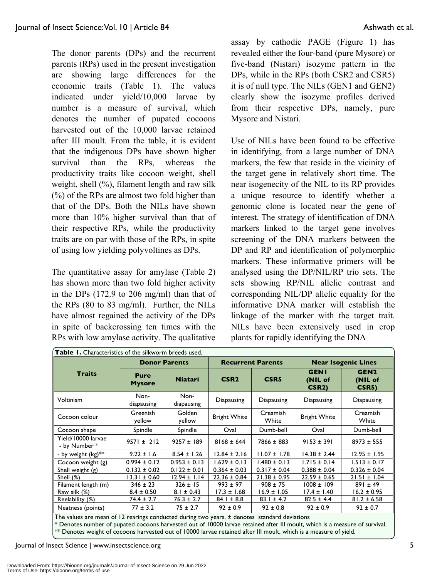The donor parents (DPs) and the recurrent parents (RPs) used in the present investigation are showing large differences for the economic traits (Table 1). The values indicated under yield/10,000 larvae by number is a measure of survival, which denotes the number of pupated cocoons harvested out of the 10,000 larvae retained after III moult. From the table, it is evident that the indigenous DPs have shown higher survival than the RPs, whereas the productivity traits like cocoon weight, shell weight, shell (%), filament length and raw silk (%) of the RPs are almost two fold higher than that of the DPs. Both the NILs have shown more than 10% higher survival than that of their respective RPs, while the productivity traits are on par with those of the RPs, in spite of using low yielding polyvoltines as DPs.

The quantitative assay for amylase (Table 2) has shown more than two fold higher activity in the DPs (172.9 to 206 mg/ml) than that of the RPs (80 to 83 mg/ml). Further, the NILs have almost regained the activity of the DPs in spite of backcrossing ten times with the RPs with low amylase activity. The qualitative assay by cathodic PAGE (Figure 1) has revealed either the four-band (pure Mysore) or five-band (Nistari) isozyme pattern in the DPs, while in the RPs (both CSR2 and CSR5) it is of null type. The NILs (GEN1 and GEN2) clearly show the isozyme profiles derived from their respective DPs, namely, pure Mysore and Nistari.

Use of NILs have been found to be effective in identifying, from a large number of DNA markers, the few that reside in the vicinity of the target gene in relatively short time. The near isogenecity of the NIL to its RP provides a unique resource to identify whether a genomic clone is located near the gene of interest. The strategy of identification of DNA markers linked to the target gene involves screening of the DNA markers between the DP and RP and identification of polymorphic markers. These informative primers will be analysed using the DP/NIL/RP trio sets. The sets showing RP/NIL allelic contrast and corresponding NIL/DP allelic equality for the informative DNA marker will establish the linkage of the marker with the target trait. NILs have been extensively used in crop plants for rapidly identifying the DNA

| Table I. Characteristics of the silkworm breeds used.                                                                       |                              |                    |                                          |                          |                                              |                                      |  |  |
|-----------------------------------------------------------------------------------------------------------------------------|------------------------------|--------------------|------------------------------------------|--------------------------|----------------------------------------------|--------------------------------------|--|--|
|                                                                                                                             | <b>Donor Parents</b>         |                    |                                          | <b>Recurrent Parents</b> | <b>Near Isogenic Lines</b>                   |                                      |  |  |
| <b>Traits</b>                                                                                                               | <b>Pure</b><br><b>Mysore</b> | <b>Niatari</b>     | CSR <sub>2</sub>                         | CSR <sub>5</sub>         | <b>GENI</b><br>(NIL of<br>CSR <sub>2</sub> ) | GEN <sub>2</sub><br>(NIL of<br>CSR5) |  |  |
| <b>Voltinism</b>                                                                                                            | Non-<br>diapausing           | Non-<br>diapausing | Diapausing                               | Diapausing               | Diapausing                                   | Diapausing                           |  |  |
| Cocoon colour                                                                                                               | Greenish<br>yellow           | Golden<br>yellow   | Creamish<br><b>Bright White</b><br>White |                          | <b>Bright White</b>                          | <b>Creamish</b><br>White             |  |  |
| Cocoon shape                                                                                                                | Spindle                      | Spindle            | Oval                                     | Dumb-bell                | Oval                                         | Dumb-bell                            |  |  |
| Yield/10000 larvae<br>- by Number *                                                                                         | $9571 \pm 212$               | $9257 \pm 189$     | $8168 \pm 644$                           | $7866 \pm 883$           | $9153 \pm 391$                               | $8973 \pm 555$                       |  |  |
| - by weight (kg)**                                                                                                          | $9.22 \pm 1.6$               | $8.54 \pm 1.26$    | $12.84 \pm 2.16$                         | $11.07 \pm 1.78$         | $14.38 \pm 2.44$                             | $12.95 \pm 1.95$                     |  |  |
| Cocoon weight (g)                                                                                                           | $0.994 \pm 0.12$             | $0.953 \pm 0.13$   | $1.629 \pm 0.13$                         | $1.480 \pm 0.13$         | $1.715 \pm 0.14$                             | $1.513 \pm 0.17$                     |  |  |
| Shell weight (g)                                                                                                            | $0.132 \pm 0.02$             | $0.122 \pm 0.01$   | $0.364 \pm 0.03$                         | $0.317 \pm 0.04$         | $0.388 \pm 0.04$                             | $0.326 \pm 0.04$                     |  |  |
| Shell (%)                                                                                                                   | $13.31 \pm 0.60$             | $12.94 \pm 1.14$   | $22.36 \pm 0.84$                         | $21.38 \pm 0.95$         | $22.59 \pm 0.65$                             | $21.51 \pm 1.04$                     |  |  |
| Filament length (m)                                                                                                         | $346 \pm 23$                 | $326 \pm 15$       | $993 \pm 97$                             | $908 \pm 75$             | $1008 \pm 109$                               | $891 \pm 49$                         |  |  |
| Raw silk (%)                                                                                                                | $8.4 \pm 0.50$               | $8.1 \pm 0.43$     | $17.3 \pm 1.68$                          | $16.9 \pm 1.05$          | $17.4 \pm 1.40$                              | $16.2 \pm 0.95$                      |  |  |
| Reelability (%)                                                                                                             | $74.4 \pm 2.7$               | $76.3 \pm 2.7$     | $84.1 \pm 8.8$                           | $83.1 \pm 4.2$           | $82.5 \pm 4.4$                               | $81.2 \pm 6.58$                      |  |  |
| Neatness (points)                                                                                                           | $77 \pm 3.2$                 | $75 \pm 2.7$       | $92 \pm 0.9$                             | $92 \pm 0.8$             | $92 \pm 0.9$                                 | $92 \pm 0.7$                         |  |  |
| The values are mean of 12 rearings conducted during two years. $\pm$ denotes standard deviations                            |                              |                    |                                          |                          |                                              |                                      |  |  |
| * Denotes number of pupated cocoons harvested out of 10000 larvae retained after III moult, which is a measure of survival. |                              |                    |                                          |                          |                                              |                                      |  |  |

\*\* Denotes weight of cocoons harvested out of 10000 larvae retained after III moult, which is a measure of yield.

Journal of Insect Science | www.insectscience.org 5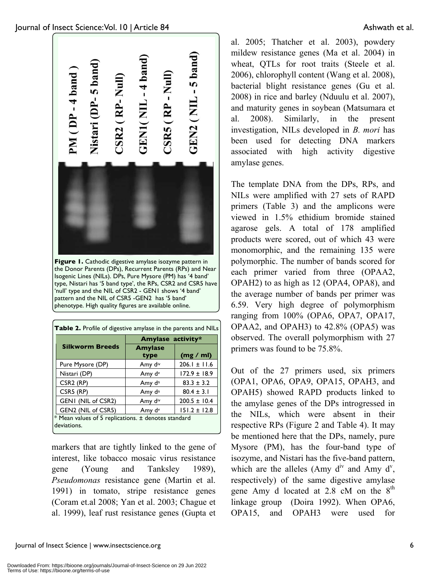

the Donor Parents (DPs), Recurrent Parents (RPs) and Near Isogenic Lines (NILs). DPs, Pure Mysore (PM) has '4 band' type, Nistari has '5 band type', the RPs, CSR2 and CSR5 have 'null' type and the NIL of CSR2 - GEN1 shows '4 band' pattern and the NIL of CSR5 -GEN2 has '5 band' phenotype. High quality figures are available online.

| <b>Table 2.</b> Profile of digestive amylase in the parents and NILs |                        |                  |  |  |  |
|----------------------------------------------------------------------|------------------------|------------------|--|--|--|
|                                                                      | Amylase activity*      |                  |  |  |  |
| <b>Silkworm Breeds</b>                                               | <b>Amylase</b><br>type | (mg / ml)        |  |  |  |
| Pure Mysore (DP)                                                     | Amy div                | $206.1 \pm 11.6$ |  |  |  |
| Nistari (DP)                                                         | Amy d <sup>v</sup>     | $172.9 \pm 18.9$ |  |  |  |
| CSR <sub>2</sub> (RP)                                                | Amy d <sup>n</sup>     | $83.3 \pm 3.2$   |  |  |  |
| CSR5 (RP)                                                            | Amy d <sup>n</sup>     | $80.4 \pm 3.1$   |  |  |  |
| GENI (NIL of CSR2)                                                   | Amy div                | $200.5 \pm 10.4$ |  |  |  |
| GEN2 (NIL of CSR5)                                                   | Amy d <sup>v</sup>     | $151.2 \pm 12.8$ |  |  |  |
| * Mean values of 5 replications. ± denotes standard<br>deviations.   |                        |                  |  |  |  |

markers that are tightly linked to the gene of interest, like tobacco mosaic virus resistance gene (Young and Tanksley 1989), *Pseudomonas* resistance gene (Martin et al. 1991) in tomato, stripe resistance genes (Coram et.al 2008; Yan et al. 2003; Chague et al. 1999), leaf rust resistance genes (Gupta et

al. 2005; Thatcher et al. 2003), powdery mildew resistance genes (Ma et al. 2004) in wheat, QTLs for root traits (Steele et al. 2006), chlorophyll content (Wang et al. 2008), bacterial blight resistance genes (Gu et al. 2008) in rice and barley (Nduulu et al. 2007), and maturity genes in soybean (Matsumara et al. 2008). Similarly, in the present investigation, NILs developed in *B. mori* has been used for detecting DNA markers associated with high activity digestive amylase genes.

The template DNA from the DPs, RPs, and NILs were amplified with 27 sets of RAPD primers (Table 3) and the amplicons were viewed in 1.5% ethidium bromide stained agarose gels. A total of 178 amplified products were scored, out of which 43 were monomorphic, and the remaining 135 were polymorphic. The number of bands scored for each primer varied from three (OPAA2, OPAH2) to as high as 12 (OPA4, OPA8), and the average number of bands per primer was 6.59. Very high degree of polymorphism ranging from 100% (OPA6, OPA7, OPA17, OPAA2, and OPAH3) to 42.8% (OPA5) was observed. The overall polymorphism with 27 primers was found to be 75.8%.

Out of the 27 primers used, six primers (OPA1, OPA6, OPA9, OPA15, OPAH3, and OPAH5) showed RAPD products linked to the amylase genes of the DPs introgressed in the NILs, which were absent in their respective RPs (Figure 2 and Table 4). It may be mentioned here that the DPs, namely, pure Mysore (PM), has the four-band type of isozyme, and Nistari has the five-band pattern, which are the alleles (Amy  $d^{iv}$  and Amy  $d^{v}$ , respectively) of the same digestive amylase gene Amy d located at 2.8 cM on the  $8<sup>th</sup>$ linkage group (Doira 1992). When OPA6, OPA15, and OPAH3 were used for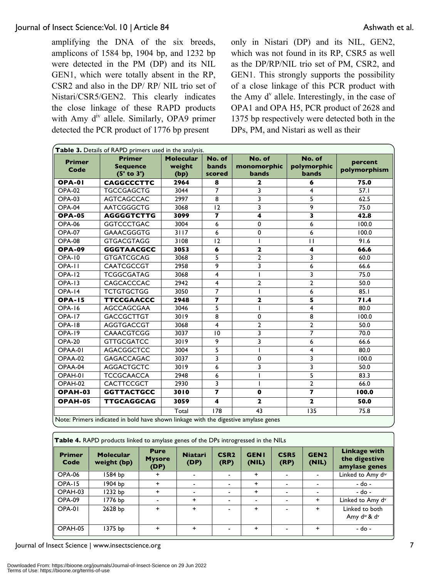amplifying the DNA of the six breeds, amplicons of 1584 bp, 1904 bp, and 1232 bp were detected in the PM (DP) and its NIL GEN1, which were totally absent in the RP, CSR2 and also in the DP/ RP/ NIL trio set of Nistari/CSR5/GEN2. This clearly indicates the close linkage of these RAPD products with Amy  $d^{iv}$  allele. Similarly, OPA9 primer detected the PCR product of 1776 bp present

only in Nistari (DP) and its NIL, GEN2, which was not found in its RP, CSR5 as well as the DP/RP/NIL trio set of PM, CSR2, and GEN1. This strongly supports the possibility of a close linkage of this PCR product with the Amy  $d^{\nu}$  allele. Interestingly, in the case of OPA1 and OPA H5, PCR product of 2628 and 1375 bp respectively were detected both in the DPs, PM, and Nistari as well as their

| Table 3. Details of RAPD primers used in the analysis.                              |                                                |                                    |                                  |                                       |                                       |                         |  |
|-------------------------------------------------------------------------------------|------------------------------------------------|------------------------------------|----------------------------------|---------------------------------------|---------------------------------------|-------------------------|--|
| <b>Primer</b><br>Code                                                               | <b>Primer</b><br><b>Sequence</b><br>(5' to 3') | <b>Molecular</b><br>weight<br>(bp) | No. of<br><b>bands</b><br>scored | No. of<br>monomorphic<br><b>bands</b> | No. of<br>polymorphic<br><b>bands</b> | percent<br>polymorphism |  |
| <b>OPA-01</b>                                                                       | <b>CAGGCCCTTC</b>                              | 2964                               | 8                                | $\mathbf{2}$                          | 6                                     | 75.0                    |  |
| <b>OPA-02</b>                                                                       | <b>TGCCGAGCTG</b>                              | 3044                               | $\overline{7}$                   | 3                                     | 4                                     | 57.1                    |  |
| <b>OPA-03</b>                                                                       | <b>AGTCAGCCAC</b>                              | 2997                               | 8                                | 3                                     | 5                                     | 62.5                    |  |
| OPA-04                                                                              | <b>AATCGGGCTG</b>                              | 3068                               | 12                               | 3                                     | 9                                     | 75.0                    |  |
| <b>OPA-05</b>                                                                       | <b>AGGGGTCTTG</b>                              | 3099                               | $\overline{\mathbf{z}}$          | $\overline{\mathbf{4}}$               | $\overline{\mathbf{3}}$               | 42.8                    |  |
| <b>OPA-06</b>                                                                       | <b>GGTCCCTGAC</b>                              | 3004                               | 6                                | 0                                     | 6                                     | 100.0                   |  |
| <b>OPA-07</b>                                                                       | <b>GAAACGGGTG</b>                              | $3117$                             | 6                                | 0                                     | 6                                     | 100.0                   |  |
| <b>OPA-08</b>                                                                       | <b>GTGACGTAGG</b>                              | 3108                               | 12                               |                                       | $\mathbf{H}$                          | 91.6                    |  |
| <b>OPA-09</b>                                                                       | <b>GGGTAACGCC</b>                              | 3053                               | 6                                | $\mathbf{2}$                          | $\overline{\mathbf{4}}$               | 66.6                    |  |
| <b>OPA-10</b>                                                                       | <b>GTGATCGCAG</b>                              | 3068                               | 5                                | $\overline{2}$                        | 3                                     | 60.0                    |  |
| OPA-II                                                                              | <b>CAATCGCCGT</b>                              | 2958                               | 9                                | 3                                     | 6                                     | 66.6                    |  |
| OPA-12                                                                              | <b>TCGGCGATAG</b>                              | 3068                               | 4                                |                                       | 3                                     | 75.0                    |  |
| <b>OPA-13</b>                                                                       | CAGCACCCAC                                     | 2942                               | $\overline{4}$                   | $\overline{2}$                        | $\overline{2}$                        | 50.0                    |  |
| OPA-14                                                                              | <b>TCTGTGCTGG</b>                              | 3050                               | $\overline{7}$                   |                                       | 6                                     | 85.1                    |  |
| <b>OPA-15</b>                                                                       | <b>TTCCGAACCC</b>                              | 2948                               | $\overline{\mathbf{z}}$          | $\mathbf 2$                           | 5                                     | 71.4                    |  |
| <b>OPA-16</b>                                                                       | AGCCAGCGAA                                     | 3046                               | 5                                |                                       | 4                                     | 80.0                    |  |
| <b>OPA-17</b>                                                                       | <b>GACCGCTTGT</b>                              | 3019                               | 8                                | 0                                     | 8                                     | 100.0                   |  |
| OPA-18                                                                              | <b>AGGTGACCGT</b>                              | 3068                               | 4                                | $\overline{2}$                        | $\overline{2}$                        | 50.0                    |  |
| <b>OPA-19</b>                                                                       | <b>CAAACGTCGG</b>                              | 3037                               | 10                               | 3                                     | $\overline{7}$                        | 70.0                    |  |
| <b>OPA-20</b>                                                                       | <b>GTTGCGATCC</b>                              | 3019                               | 9                                | 3                                     | 6                                     | 66.6                    |  |
| OPAA-01                                                                             | <b>AGACGGCTCC</b>                              | 3004                               | 5                                |                                       | 4                                     | 80.0                    |  |
| OPAA-02                                                                             | <b>GAGACCAGAC</b>                              | 3037                               | 3                                | 0                                     | 3                                     | 100.0                   |  |
| OPAA-04                                                                             | <b>AGGACTGCTC</b>                              | 3019                               | 6                                | 3                                     | 3                                     | 50.0                    |  |
| OPAH-01                                                                             | <b>TCCGCAACCA</b>                              | 2948                               | 6                                |                                       | 5                                     | 83.3                    |  |
| OPAH-02                                                                             | CACTTCCGCT                                     | 2930                               | 3                                |                                       | $\overline{2}$                        | 66.0                    |  |
| OPAH-03                                                                             | <b>GGTTACTGCC</b>                              | 3010                               | $\overline{ }$                   | $\mathbf 0$                           | $\overline{\mathbf{z}}$               | 100.0                   |  |
| OPAH-05                                                                             | <b>TTGCAGGCAG</b>                              | 3059                               | $\overline{\mathbf{4}}$          | $\mathbf{2}$                          | $\mathbf{2}$                          | 50.0                    |  |
|                                                                                     |                                                | Total                              | 178                              | 43                                    | 135                                   | 75.8                    |  |
| Note: Primers indicated in bold have shown linkage with the digestive amylase genes |                                                |                                    |                                  |                                       |                                       |                         |  |

| <b>Table 4.</b> RAPD products linked to amylase genes of the DPs introgressed in the NILs |                                 |                                      |                        |                          |                      |                          |                           |                                                       |
|-------------------------------------------------------------------------------------------|---------------------------------|--------------------------------------|------------------------|--------------------------|----------------------|--------------------------|---------------------------|-------------------------------------------------------|
| <b>Primer</b><br>Code                                                                     | <b>Molecular</b><br>weight (bp) | <b>Pure</b><br><b>Mysore</b><br>(DP) | <b>Niatari</b><br>(DP) | CSR <sub>2</sub><br>(RP) | <b>GENI</b><br>(NIL) | CSR <sub>5</sub><br>(RP) | GEN <sub>2</sub><br>(NIL) | <b>Linkage with</b><br>the digestive<br>amylase genes |
| OPA-06                                                                                    | 1584 bp                         | +                                    | $\blacksquare$         |                          | $\pm$                | $\blacksquare$           |                           | Linked to Amy div                                     |
| OPA-15                                                                                    | 1904 bp                         | $\ddot{}$                            | $\blacksquare$         |                          | $\pm$                | $\blacksquare$           |                           | - do -                                                |
| OPAH-03                                                                                   | 1232 bp                         | ÷                                    | $\blacksquare$         |                          | $\pm$                | $\blacksquare$           |                           | - do -                                                |
| OPA-09                                                                                    | 1776 bp                         |                                      | $\ddot{}$              |                          |                      |                          | $\ddot{}$                 | Linked to Amy dv                                      |
| OPA-01                                                                                    | 2628 bp                         | +                                    | $\ddot{}$              |                          | $\ddot{}$            |                          | +                         | Linked to both<br>Amy div & dv                        |
| OPAH-05                                                                                   | 1375 bp                         | $\ddot{}$                            | $\ddot{}$              |                          | $\pm$                | $\blacksquare$           | $\ddot{}$                 | - do -                                                |

Journal of Insect Science | www.insectscience.org 7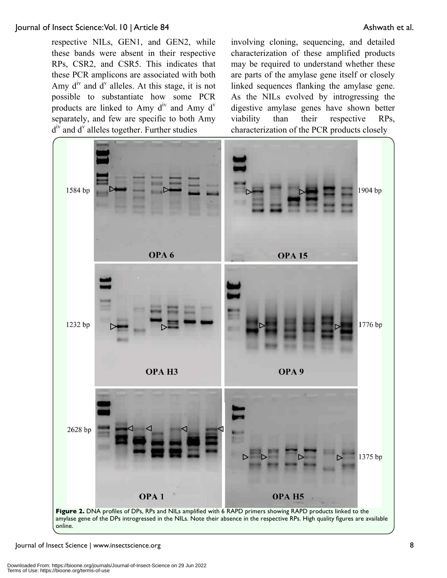respective NILs, GEN1, and GEN2, while these bands were absent in their respective RPs, CSR2, and CSR5. This indicates that these PCR amplicons are associated with both Amy  $d^{\text{iv}}$  and  $d^{\text{v}}$  alleles. At this stage, it is not possible to substantiate how some PCR products are linked to Amy  $d^{\prime\prime}$  and Amy  $d^{\prime\prime}$ separately, and few are specific to both Amy d<sup>iv</sup> and d<sup>v</sup> alleles together. Further studies

involving cloning, sequencing, and detailed characterization of these amplified products may be required to understand whether these are parts of the amylase gene itself or closely linked sequences flanking the amylase gene. As the NILs evolved by introgressing the digestive amylase genes have shown better viability than their respective RPs, characterization of the PCR products closely

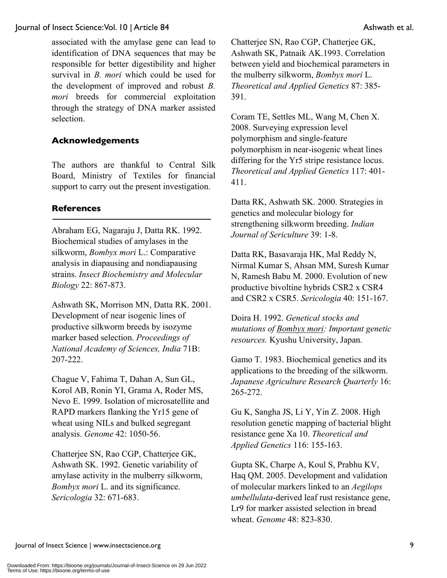associated with the amylase gene can lead to identification of DNA sequences that may be responsible for better digestibility and higher survival in *B. mori* which could be used for the development of improved and robust *B. mori* breeds for commercial exploitation through the strategy of DNA marker assisted selection.

### **Acknowledgements**

The authors are thankful to Central Silk Board, Ministry of Textiles for financial support to carry out the present investigation.

#### **References**

Abraham EG, Nagaraju J, Datta RK. 1992. Biochemical studies of amylases in the silkworm, *Bombyx mori* L.: Comparative analysis in diapausing and nondiapausing strains. *Insect Biochemistry and Molecular Biology* 22: 867-873.

Ashwath SK, Morrison MN, Datta RK. 2001. Development of near isogenic lines of productive silkworm breeds by isozyme marker based selection. *Proceedings of National Academy of Sciences, India* 71B: 207-222.

Chague V, Fahima T, Dahan A, Sun GL, Korol AB, Ronin YI, Grama A, Roder MS, Nevo E. 1999. Isolation of microsatellite and RAPD markers flanking the Yr15 gene of wheat using NILs and bulked segregant analysis. *Genome* 42: 1050-56.

Chatterjee SN, Rao CGP, Chatterjee GK, Ashwath SK. 1992. Genetic variability of amylase activity in the mulberry silkworm, *Bombyx mori* L. and its significance. *Sericologia* 32: 671-683.

Chatterjee SN, Rao CGP, Chatterjee GK, Ashwath SK, Patnaik AK.1993. Correlation between yield and biochemical parameters in the mulberry silkworm, *Bombyx mori* L. *Theoretical and Applied Genetics* 87: 385- 391.

Coram TE, Settles ML, Wang M, Chen X. 2008. Surveying expression level polymorphism and single-feature polymorphism in near-isogenic wheat lines differing for the Yr5 stripe resistance locus. *Theoretical and Applied Genetics* 117: 401- 411.

Datta RK, Ashwath SK. 2000. Strategies in genetics and molecular biology for strengthening silkworm breeding. *Indian Journal of Sericulture* 39: 1-8.

Datta RK, Basavaraja HK, Mal Reddy N, Nirmal Kumar S, Ahsan MM, Suresh Kumar N, Ramesh Babu M. 2000. Evolution of new productive bivoltine hybrids CSR2 x CSR4 and CSR2 x CSR5. *Sericologia* 40: 151-167.

Doira H. 1992. *Genetical stocks and mutations of Bombyx mori: Important genetic resources.* Kyushu University, Japan.

Gamo T. 1983. Biochemical genetics and its applications to the breeding of the silkworm. *Japanese Agriculture Research Quarterly* 16: 265-272.

Gu K, Sangha JS, Li Y, Yin Z. 2008. High resolution genetic mapping of bacterial blight resistance gene Xa 10. *Theoretical and Applied Genetics* 116: 155-163.

Gupta SK, Charpe A, Koul S, Prabhu KV, Haq QM. 2005. Development and validation of molecular markers linked to an *Aegilops umbellulata*-derived leaf rust resistance gene, Lr9 for marker assisted selection in bread wheat. *Genome* 48: 823-830.